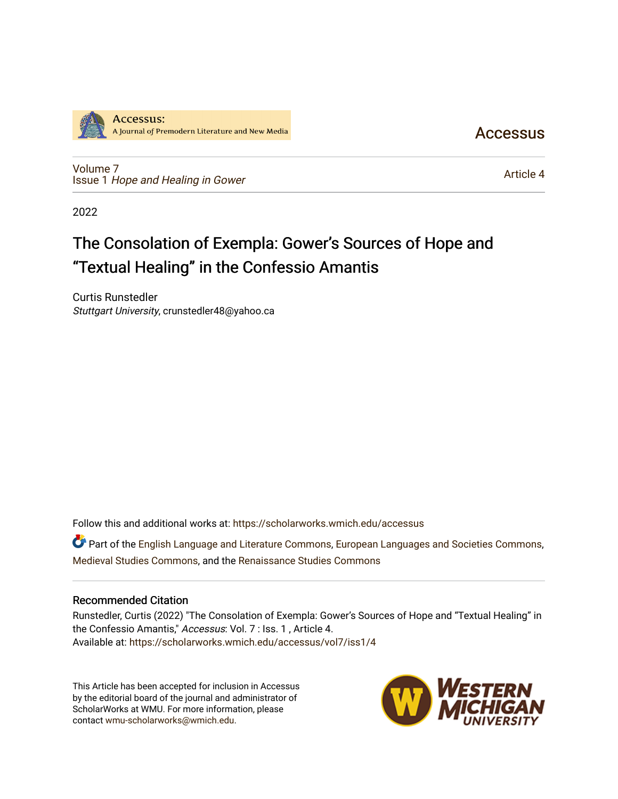

[Volume 7](https://scholarworks.wmich.edu/accessus/vol7) Issue 1 [Hope and Healing in Gower](https://scholarworks.wmich.edu/accessus/vol7/iss1)  **Accessus** 

[Article 4](https://scholarworks.wmich.edu/accessus/vol7/iss1/4) 

2022

# The Consolation of Exempla: Gower's Sources of Hope and "Textual Healing" in the Confessio Amantis

Curtis Runstedler Stuttgart University, crunstedler48@yahoo.ca

Follow this and additional works at: [https://scholarworks.wmich.edu/accessus](https://scholarworks.wmich.edu/accessus?utm_source=scholarworks.wmich.edu%2Faccessus%2Fvol7%2Fiss1%2F4&utm_medium=PDF&utm_campaign=PDFCoverPages)

Part of the [English Language and Literature Commons](http://network.bepress.com/hgg/discipline/455?utm_source=scholarworks.wmich.edu%2Faccessus%2Fvol7%2Fiss1%2F4&utm_medium=PDF&utm_campaign=PDFCoverPages), [European Languages and Societies Commons](http://network.bepress.com/hgg/discipline/482?utm_source=scholarworks.wmich.edu%2Faccessus%2Fvol7%2Fiss1%2F4&utm_medium=PDF&utm_campaign=PDFCoverPages), [Medieval Studies Commons](http://network.bepress.com/hgg/discipline/480?utm_source=scholarworks.wmich.edu%2Faccessus%2Fvol7%2Fiss1%2F4&utm_medium=PDF&utm_campaign=PDFCoverPages), and the [Renaissance Studies Commons](http://network.bepress.com/hgg/discipline/1426?utm_source=scholarworks.wmich.edu%2Faccessus%2Fvol7%2Fiss1%2F4&utm_medium=PDF&utm_campaign=PDFCoverPages)

### Recommended Citation

Runstedler, Curtis (2022) "The Consolation of Exempla: Gower's Sources of Hope and "Textual Healing" in the Confessio Amantis," Accessus: Vol. 7 : Iss. 1 , Article 4. Available at: [https://scholarworks.wmich.edu/accessus/vol7/iss1/4](https://scholarworks.wmich.edu/accessus/vol7/iss1/4?utm_source=scholarworks.wmich.edu%2Faccessus%2Fvol7%2Fiss1%2F4&utm_medium=PDF&utm_campaign=PDFCoverPages) 

This Article has been accepted for inclusion in Accessus by the editorial board of the journal and administrator of ScholarWorks at WMU. For more information, please contact [wmu-scholarworks@wmich.edu](mailto:wmu-scholarworks@wmich.edu).

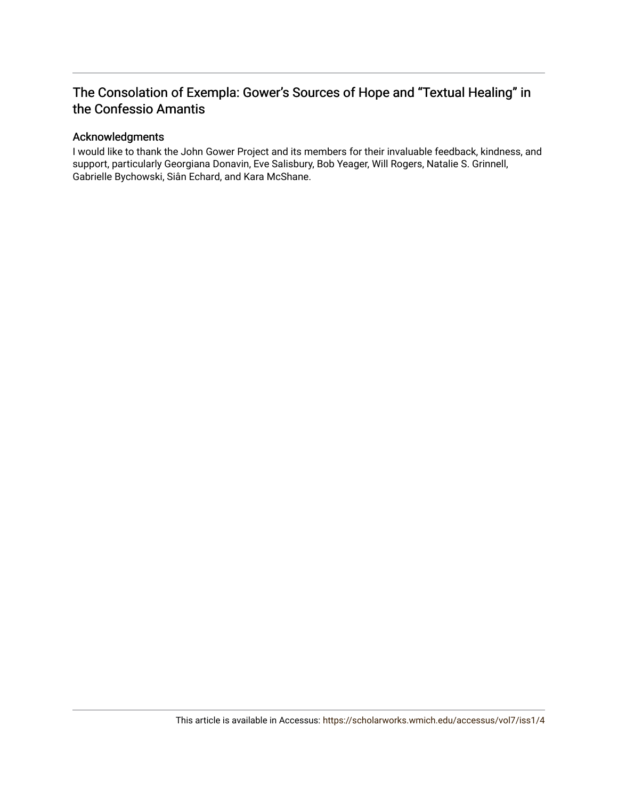## The Consolation of Exempla: Gower's Sources of Hope and "Textual Healing" in the Confessio Amantis

### Acknowledgments

I would like to thank the John Gower Project and its members for their invaluable feedback, kindness, and support, particularly Georgiana Donavin, Eve Salisbury, Bob Yeager, Will Rogers, Natalie S. Grinnell, Gabrielle Bychowski, Siân Echard, and Kara McShane.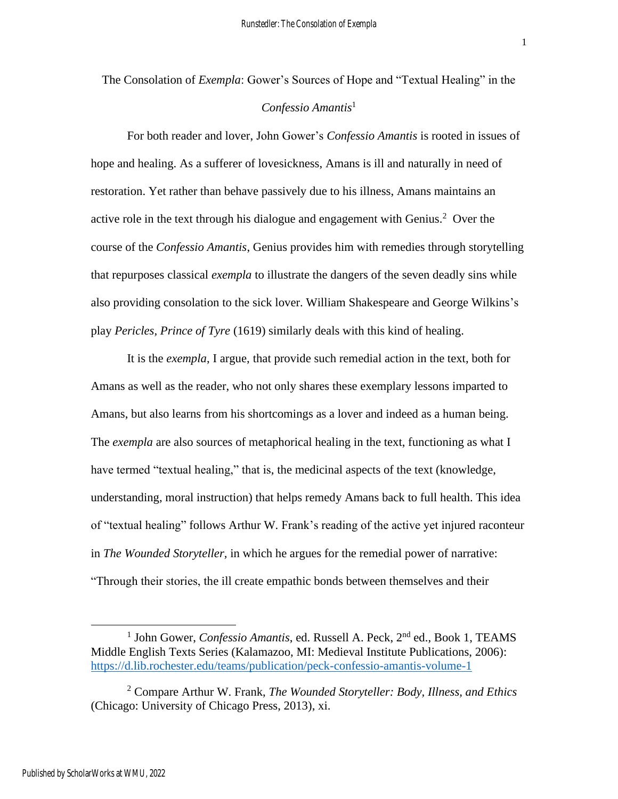The Consolation of *Exempla*: Gower's Sources of Hope and "Textual Healing" in the *Confessio Amantis*<sup>1</sup>

For both reader and lover, John Gower's *Confessio Amantis* is rooted in issues of hope and healing. As a sufferer of lovesickness, Amans is ill and naturally in need of restoration. Yet rather than behave passively due to his illness, Amans maintains an active role in the text through his dialogue and engagement with Genius.<sup>2</sup> Over the course of the *Confessio Amantis*, Genius provides him with remedies through storytelling that repurposes classical *exempla* to illustrate the dangers of the seven deadly sins while also providing consolation to the sick lover. William Shakespeare and George Wilkins's play *Pericles, Prince of Tyre* (1619) similarly deals with this kind of healing.

It is the *exempla*, I argue, that provide such remedial action in the text, both for Amans as well as the reader, who not only shares these exemplary lessons imparted to Amans, but also learns from his shortcomings as a lover and indeed as a human being. The *exempla* are also sources of metaphorical healing in the text, functioning as what I have termed "textual healing," that is, the medicinal aspects of the text (knowledge, understanding, moral instruction) that helps remedy Amans back to full health. This idea of "textual healing" follows Arthur W. Frank's reading of the active yet injured raconteur in *The Wounded Storyteller,* in which he argues for the remedial power of narrative: "Through their stories, the ill create empathic bonds between themselves and their

<sup>&</sup>lt;sup>1</sup> John Gower, *Confessio Amantis*, ed. Russell A. Peck, 2<sup>nd</sup> ed., Book 1, TEAMS Middle English Texts Series (Kalamazoo, MI: Medieval Institute Publications, 2006): <https://d.lib.rochester.edu/teams/publication/peck-confessio-amantis-volume-1>

<sup>2</sup> Compare Arthur W. Frank, *The Wounded Storyteller: Body, Illness, and Ethics*  (Chicago: University of Chicago Press, 2013), xi.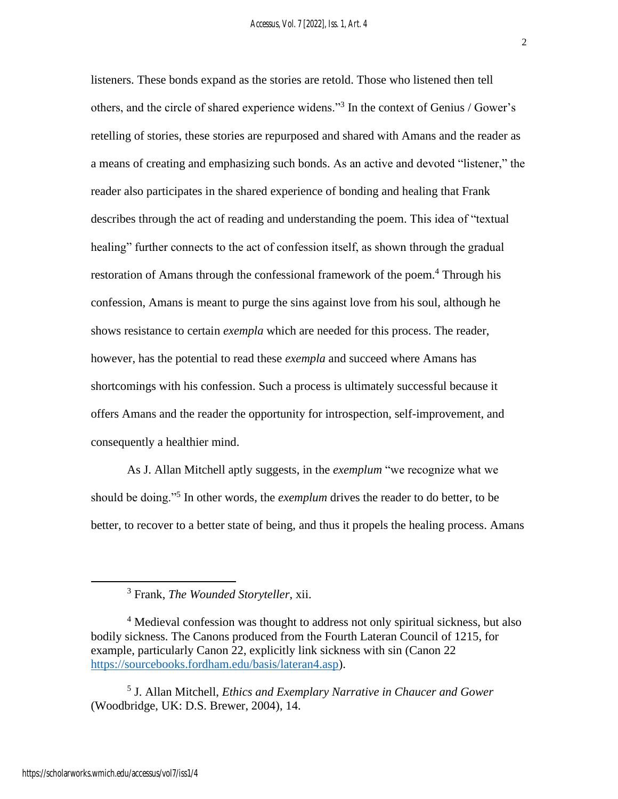listeners. These bonds expand as the stories are retold. Those who listened then tell others, and the circle of shared experience widens."<sup>3</sup> In the context of Genius / Gower's retelling of stories, these stories are repurposed and shared with Amans and the reader as a means of creating and emphasizing such bonds. As an active and devoted "listener," the reader also participates in the shared experience of bonding and healing that Frank describes through the act of reading and understanding the poem. This idea of "textual healing" further connects to the act of confession itself, as shown through the gradual restoration of Amans through the confessional framework of the poem.<sup>4</sup> Through his confession, Amans is meant to purge the sins against love from his soul, although he shows resistance to certain *exempla* which are needed for this process. The reader, however, has the potential to read these *exempla* and succeed where Amans has shortcomings with his confession. Such a process is ultimately successful because it offers Amans and the reader the opportunity for introspection, self-improvement, and consequently a healthier mind.

As J. Allan Mitchell aptly suggests, in the *exemplum* "we recognize what we should be doing."<sup>5</sup> In other words, the *exemplum* drives the reader to do better, to be better, to recover to a better state of being, and thus it propels the healing process. Amans

5 J. Allan Mitchell, *Ethics and Exemplary Narrative in Chaucer and Gower*  (Woodbridge, UK: D.S. Brewer, 2004), 14.

<sup>3</sup> Frank, *The Wounded Storyteller*, xii.

<sup>&</sup>lt;sup>4</sup> Medieval confession was thought to address not only spiritual sickness, but also bodily sickness. The Canons produced from the Fourth Lateran Council of 1215, for example, particularly Canon 22, explicitly link sickness with sin (Canon 22 [https://sourcebooks.fordham.edu/basis/lateran4.asp\)](https://sourcebooks.fordham.edu/basis/lateran4.asp).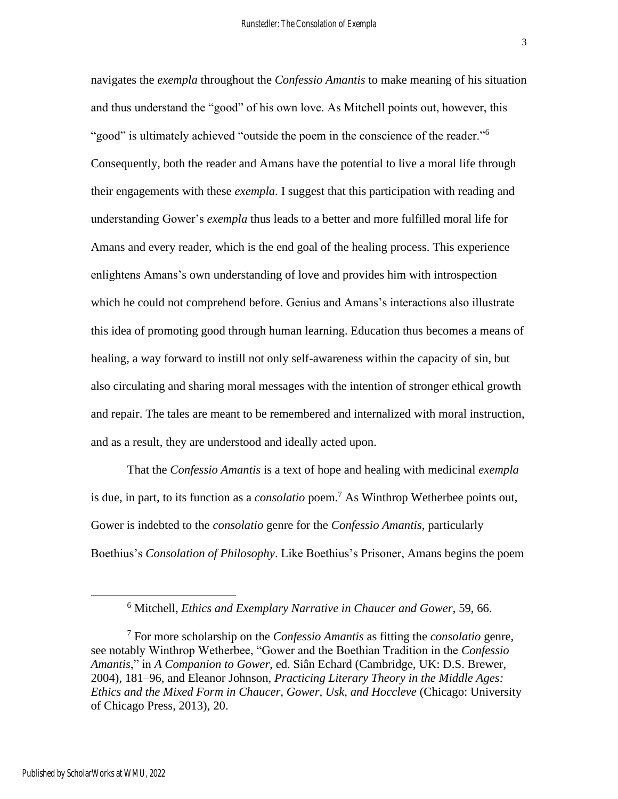navigates the *exempla* throughout the *Confessio Amantis* to make meaning of his situation and thus understand the "good" of his own love. As Mitchell points out, however, this "good" is ultimately achieved "outside the poem in the conscience of the reader."<sup>6</sup> Consequently, both the reader and Amans have the potential to live a moral life through their engagements with these *exempla*. I suggest that this participation with reading and understanding Gower's *exempla* thus leads to a better and more fulfilled moral life for Amans and every reader, which is the end goal of the healing process. This experience enlightens Amans's own understanding of love and provides him with introspection which he could not comprehend before. Genius and Amans's interactions also illustrate this idea of promoting good through human learning. Education thus becomes a means of healing, a way forward to instill not only self-awareness within the capacity of sin, but also circulating and sharing moral messages with the intention of stronger ethical growth and repair. The tales are meant to be remembered and internalized with moral instruction, and as a result, they are understood and ideally acted upon.

That the *Confessio Amantis* is a text of hope and healing with medicinal *exempla* is due, in part, to its function as a *consolatio* poem.<sup>7</sup> As Winthrop Wetherbee points out, Gower is indebted to the *consolatio* genre for the *Confessio Amantis*, particularly Boethius's *Consolation of Philosophy*. Like Boethius's Prisoner, Amans begins the poem

<sup>6</sup> Mitchell, *Ethics and Exemplary Narrative in Chaucer and Gower*, 59, 66.

<sup>7</sup> For more scholarship on the *Confessio Amantis* as fitting the *consolatio* genre, see notably Winthrop Wetherbee, "Gower and the Boethian Tradition in the *Confessio Amantis*," in *A Companion to Gower*, ed. Siân Echard (Cambridge, UK: D.S. Brewer, 2004), 181–96, and Eleanor Johnson, *Practicing Literary Theory in the Middle Ages: Ethics and the Mixed Form in Chaucer, Gower, Usk, and Hoccleve* (Chicago: University of Chicago Press, 2013), 20.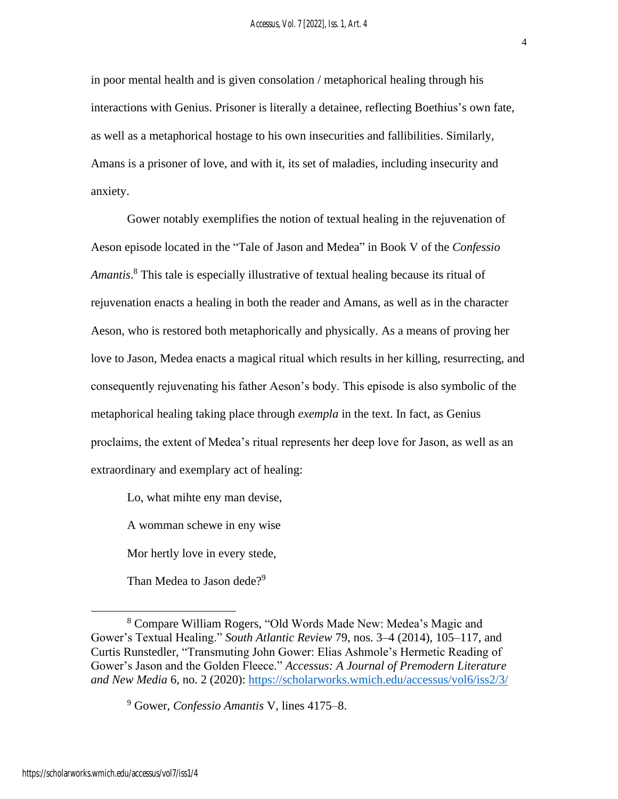in poor mental health and is given consolation / metaphorical healing through his interactions with Genius. Prisoner is literally a detainee, reflecting Boethius's own fate, as well as a metaphorical hostage to his own insecurities and fallibilities. Similarly, Amans is a prisoner of love, and with it, its set of maladies, including insecurity and anxiety.

Gower notably exemplifies the notion of textual healing in the rejuvenation of Aeson episode located in the "Tale of Jason and Medea" in Book V of the *Confessio Amantis*. <sup>8</sup> This tale is especially illustrative of textual healing because its ritual of rejuvenation enacts a healing in both the reader and Amans, as well as in the character Aeson, who is restored both metaphorically and physically. As a means of proving her love to Jason, Medea enacts a magical ritual which results in her killing, resurrecting, and consequently rejuvenating his father Aeson's body. This episode is also symbolic of the metaphorical healing taking place through *exempla* in the text. In fact, as Genius proclaims, the extent of Medea's ritual represents her deep love for Jason, as well as an extraordinary and exemplary act of healing:

Lo, what mihte eny man devise,

A womman schewe in eny wise

Mor hertly love in every stede,

Than Medea to Jason dede?<sup>9</sup>

https://scholarworks.wmich.edu/accessus/vol7/iss1/4

<sup>8</sup> Compare William Rogers, "Old Words Made New: Medea's Magic and Gower's Textual Healing." *South Atlantic Review* 79, nos. 3–4 (2014), 105–117, and Curtis Runstedler, "Transmuting John Gower: Elias Ashmole's Hermetic Reading of Gower's Jason and the Golden Fleece." *Accessus: A Journal of Premodern Literature and New Media* 6, no. 2 (2020): <https://scholarworks.wmich.edu/accessus/vol6/iss2/3/>

<sup>9</sup> Gower, *Confessio Amantis* V, lines 4175–8.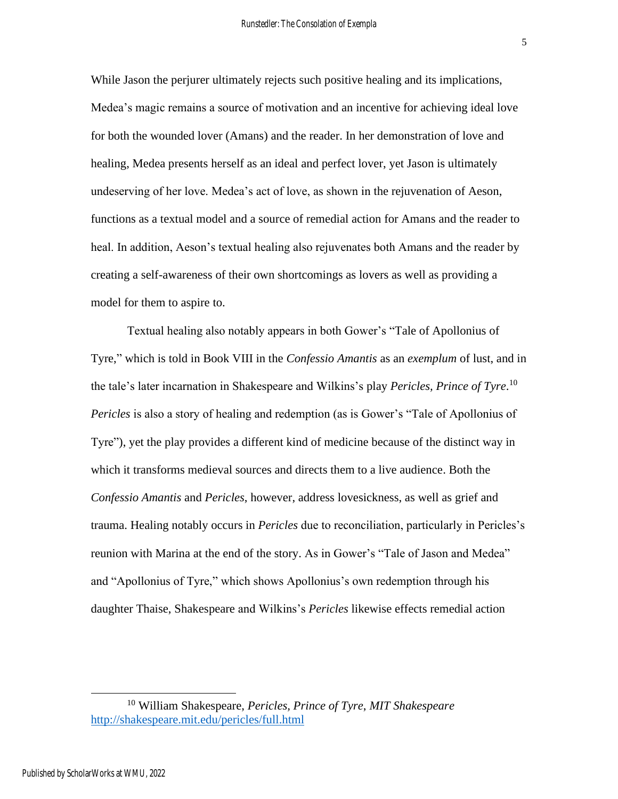While Jason the perjurer ultimately rejects such positive healing and its implications, Medea's magic remains a source of motivation and an incentive for achieving ideal love for both the wounded lover (Amans) and the reader. In her demonstration of love and healing, Medea presents herself as an ideal and perfect lover, yet Jason is ultimately undeserving of her love. Medea's act of love, as shown in the rejuvenation of Aeson, functions as a textual model and a source of remedial action for Amans and the reader to heal. In addition, Aeson's textual healing also rejuvenates both Amans and the reader by creating a self-awareness of their own shortcomings as lovers as well as providing a model for them to aspire to.

Textual healing also notably appears in both Gower's "Tale of Apollonius of Tyre," which is told in Book VIII in the *Confessio Amantis* as an *exemplum* of lust, and in the tale's later incarnation in Shakespeare and Wilkins's play *Pericles, Prince of Tyre*. 10 *Pericles* is also a story of healing and redemption (as is Gower's "Tale of Apollonius of Tyre"), yet the play provides a different kind of medicine because of the distinct way in which it transforms medieval sources and directs them to a live audience. Both the *Confessio Amantis* and *Pericles*, however, address lovesickness, as well as grief and trauma. Healing notably occurs in *Pericles* due to reconciliation, particularly in Pericles's reunion with Marina at the end of the story. As in Gower's "Tale of Jason and Medea" and "Apollonius of Tyre," which shows Apollonius's own redemption through his daughter Thaise, Shakespeare and Wilkins's *Pericles* likewise effects remedial action

<sup>10</sup> William Shakespeare, *Pericles, Prince of Tyre*, *MIT Shakespeare* <http://shakespeare.mit.edu/pericles/full.html>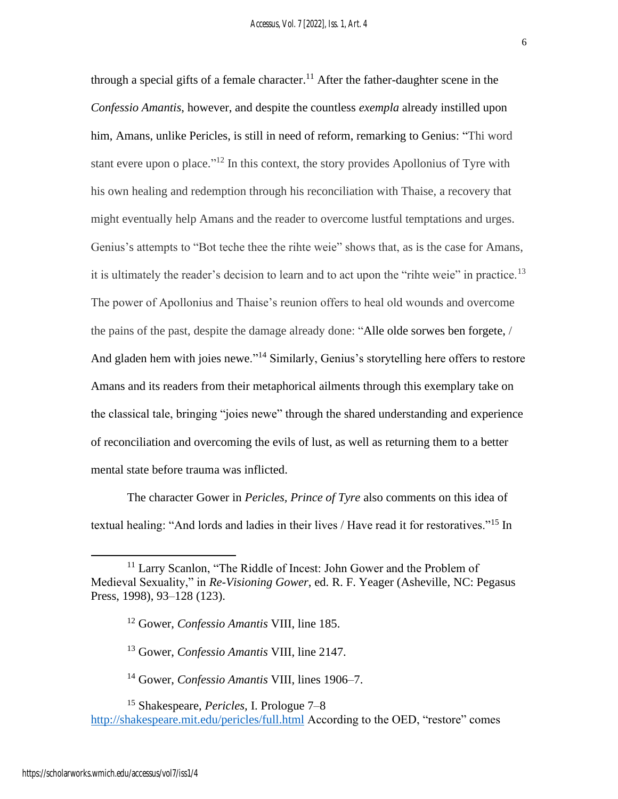through a special gifts of a female character.<sup>11</sup> After the father-daughter scene in the *Confessio Amantis*, however, and despite the countless *exempla* already instilled upon him, Amans, unlike Pericles, is still in need of reform, remarking to Genius: "Thi word stant evere upon o place."<sup>12</sup> In this context, the story provides Apollonius of Tyre with his own healing and redemption through his reconciliation with Thaise, a recovery that might eventually help Amans and the reader to overcome lustful temptations and urges. Genius's attempts to "Bot teche thee the rihte weie" shows that, as is the case for Amans, it is ultimately the reader's decision to learn and to act upon the "rihte weie" in practice.<sup>13</sup> The power of Apollonius and Thaise's reunion offers to heal old wounds and overcome the pains of the past, despite the damage already done: "Alle olde sorwes ben forgete, / And gladen hem with joies newe."<sup>14</sup> Similarly, Genius's storytelling here offers to restore Amans and its readers from their metaphorical ailments through this exemplary take on the classical tale, bringing "joies newe" through the shared understanding and experience of reconciliation and overcoming the evils of lust, as well as returning them to a better mental state before trauma was inflicted.

The character Gower in *Pericles, Prince of Tyre* also comments on this idea of textual healing: "And lords and ladies in their lives / Have read it for restoratives."<sup>15</sup> In

<sup>13</sup> Gower, *Confessio Amantis* VIII, line 2147.

<sup>14</sup> Gower, *Confessio Amantis* VIII, lines 1906–7.

<sup>15</sup> Shakespeare, *Pericles,* I. Prologue 7–8 <http://shakespeare.mit.edu/pericles/full.html> According to the OED, "restore" comes

<sup>&</sup>lt;sup>11</sup> Larry Scanlon, "The Riddle of Incest: John Gower and the Problem of Medieval Sexuality," in *Re-Visioning Gower*, ed. R. F. Yeager (Asheville, NC: Pegasus Press, 1998), 93–128 (123).

<sup>12</sup> Gower, *Confessio Amantis* VIII, line 185.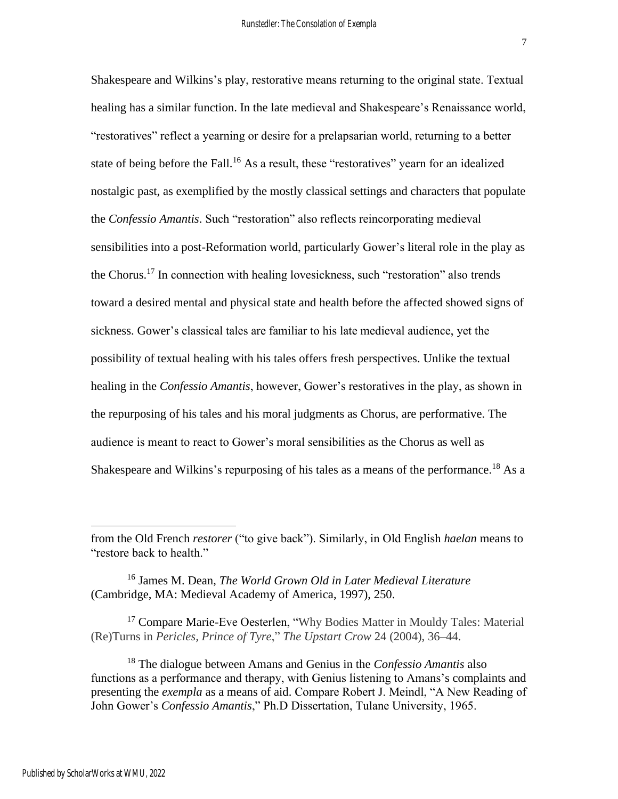healing has a similar function. In the late medieval and Shakespeare's Renaissance world, "restoratives" reflect a yearning or desire for a prelapsarian world, returning to a better state of being before the Fall.<sup>16</sup> As a result, these "restoratives" yearn for an idealized nostalgic past, as exemplified by the mostly classical settings and characters that populate the *Confessio Amantis*. Such "restoration" also reflects reincorporating medieval sensibilities into a post-Reformation world, particularly Gower's literal role in the play as the Chorus. <sup>17</sup> In connection with healing lovesickness, such "restoration" also trends toward a desired mental and physical state and health before the affected showed signs of sickness. Gower's classical tales are familiar to his late medieval audience, yet the possibility of textual healing with his tales offers fresh perspectives. Unlike the textual healing in the *Confessio Amantis*, however, Gower's restoratives in the play, as shown in the repurposing of his tales and his moral judgments as Chorus, are performative. The audience is meant to react to Gower's moral sensibilities as the Chorus as well as Shakespeare and Wilkins's repurposing of his tales as a means of the performance.<sup>18</sup> As a

from the Old French *restorer* ("to give back"). Similarly, in Old English *haelan* means to "restore back to health."

<sup>16</sup> James M. Dean, *The World Grown Old in Later Medieval Literature*  (Cambridge, MA: Medieval Academy of America, 1997), 250.

<sup>&</sup>lt;sup>17</sup> Compare Marie-Eve Oesterlen, "Why Bodies Matter in Mouldy Tales: Material (Re)Turns in *Pericles, Prince of Tyre*," *The Upstart Crow* 24 (2004), 36–44.

<sup>18</sup> The dialogue between Amans and Genius in the *Confessio Amantis* also functions as a performance and therapy, with Genius listening to Amans's complaints and presenting the *exempla* as a means of aid. Compare Robert J. Meindl, "A New Reading of John Gower's *Confessio Amantis*," Ph.D Dissertation, Tulane University, 1965.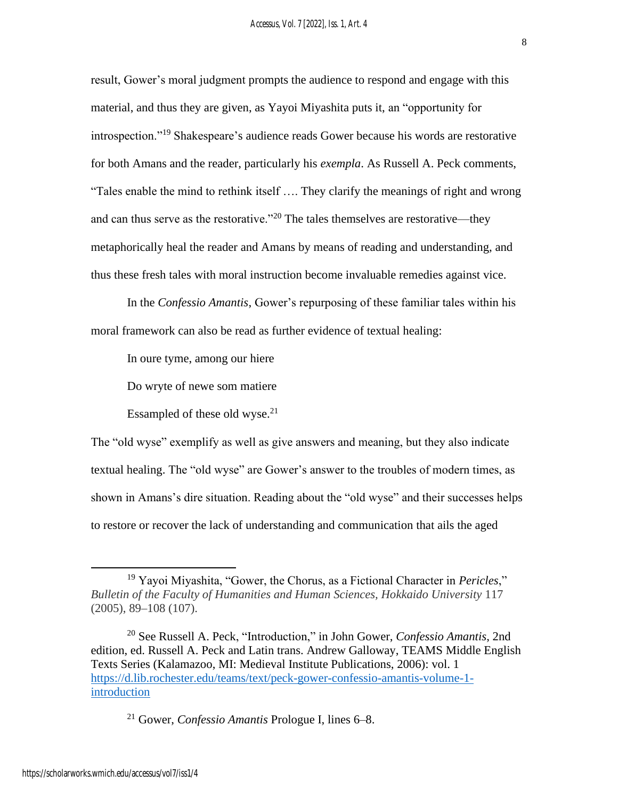result, Gower's moral judgment prompts the audience to respond and engage with this material, and thus they are given, as Yayoi Miyashita puts it, an "opportunity for introspection."<sup>19</sup> Shakespeare's audience reads Gower because his words are restorative for both Amans and the reader, particularly his *exempla*. As Russell A. Peck comments, "Tales enable the mind to rethink itself …. They clarify the meanings of right and wrong and can thus serve as the restorative."<sup>20</sup> The tales themselves are restorative—they metaphorically heal the reader and Amans by means of reading and understanding, and thus these fresh tales with moral instruction become invaluable remedies against vice.

In the *Confessio Amantis*, Gower's repurposing of these familiar tales within his moral framework can also be read as further evidence of textual healing:

In oure tyme, among our hiere

Do wryte of newe som matiere

Essampled of these old wyse.<sup>21</sup>

The "old wyse" exemplify as well as give answers and meaning, but they also indicate textual healing. The "old wyse" are Gower's answer to the troubles of modern times, as shown in Amans's dire situation. Reading about the "old wyse" and their successes helps to restore or recover the lack of understanding and communication that ails the aged

<sup>19</sup> Yayoi Miyashita, "Gower, the Chorus, as a Fictional Character in *Pericles*," *Bulletin of the Faculty of Humanities and Human Sciences, Hokkaido University* 117 (2005), 89–108 (107).

<sup>20</sup> See Russell A. Peck, "Introduction," in John Gower, *Confessio Amantis*, 2nd edition, ed. Russell A. Peck and Latin trans. Andrew Galloway, TEAMS Middle English Texts Series (Kalamazoo, MI: Medieval Institute Publications, 2006): vol. 1 [https://d.lib.rochester.edu/teams/text/peck-gower-confessio-amantis-volume-1](https://d.lib.rochester.edu/teams/text/peck-gower-confessio-amantis-volume-1-introduction) [introduction](https://d.lib.rochester.edu/teams/text/peck-gower-confessio-amantis-volume-1-introduction)

<sup>21</sup> Gower, *Confessio Amantis* Prologue I, lines 6–8.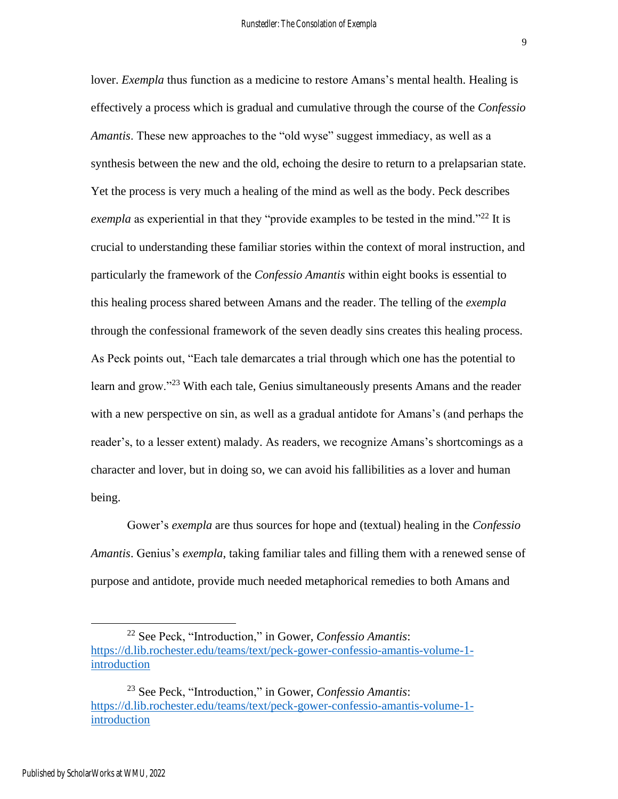lover. *Exempla* thus function as a medicine to restore Amans's mental health. Healing is effectively a process which is gradual and cumulative through the course of the *Confessio Amantis*. These new approaches to the "old wyse" suggest immediacy, as well as a synthesis between the new and the old, echoing the desire to return to a prelapsarian state. Yet the process is very much a healing of the mind as well as the body. Peck describes *exempla* as experiential in that they "provide examples to be tested in the mind."<sup>22</sup> It is crucial to understanding these familiar stories within the context of moral instruction, and particularly the framework of the *Confessio Amantis* within eight books is essential to this healing process shared between Amans and the reader. The telling of the *exempla*  through the confessional framework of the seven deadly sins creates this healing process. As Peck points out, "Each tale demarcates a trial through which one has the potential to learn and grow."<sup>23</sup> With each tale, Genius simultaneously presents Amans and the reader with a new perspective on sin, as well as a gradual antidote for Amans's (and perhaps the reader's, to a lesser extent) malady. As readers, we recognize Amans's shortcomings as a character and lover, but in doing so, we can avoid his fallibilities as a lover and human being.

Gower's *exempla* are thus sources for hope and (textual) healing in the *Confessio Amantis*. Genius's *exempla*, taking familiar tales and filling them with a renewed sense of purpose and antidote, provide much needed metaphorical remedies to both Amans and

<sup>22</sup> See Peck, "Introduction," in Gower, *Confessio Amantis*: [https://d.lib.rochester.edu/teams/text/peck-gower-confessio-amantis-volume-1](https://d.lib.rochester.edu/teams/text/peck-gower-confessio-amantis-volume-1-introduction) [introduction](https://d.lib.rochester.edu/teams/text/peck-gower-confessio-amantis-volume-1-introduction)

<sup>23</sup> See Peck, "Introduction," in Gower, *Confessio Amantis*: [https://d.lib.rochester.edu/teams/text/peck-gower-confessio-amantis-volume-1](https://d.lib.rochester.edu/teams/text/peck-gower-confessio-amantis-volume-1-introduction) [introduction](https://d.lib.rochester.edu/teams/text/peck-gower-confessio-amantis-volume-1-introduction)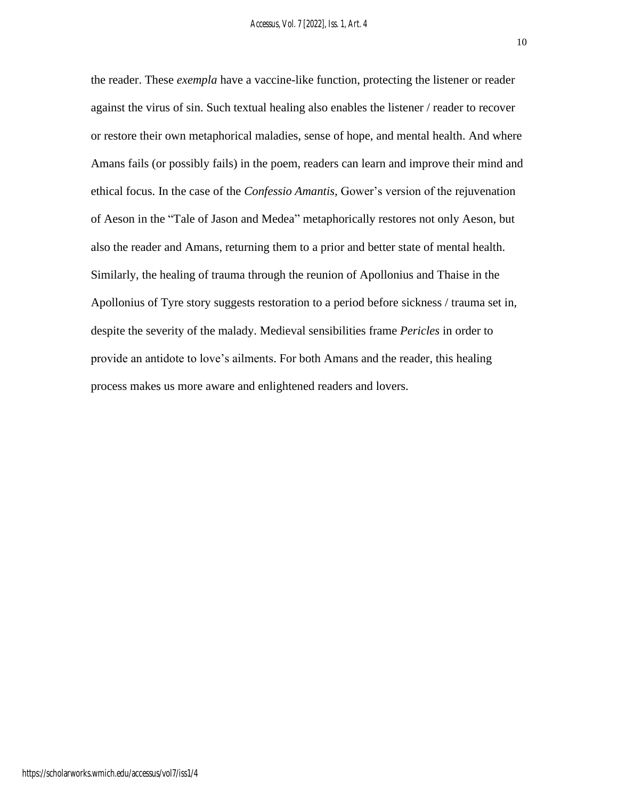the reader. These *exempla* have a vaccine-like function, protecting the listener or reader against the virus of sin. Such textual healing also enables the listener / reader to recover or restore their own metaphorical maladies, sense of hope, and mental health. And where Amans fails (or possibly fails) in the poem, readers can learn and improve their mind and ethical focus. In the case of the *Confessio Amantis,* Gower's version of the rejuvenation of Aeson in the "Tale of Jason and Medea" metaphorically restores not only Aeson, but also the reader and Amans, returning them to a prior and better state of mental health. Similarly, the healing of trauma through the reunion of Apollonius and Thaise in the Apollonius of Tyre story suggests restoration to a period before sickness / trauma set in, despite the severity of the malady. Medieval sensibilities frame *Pericles* in order to provide an antidote to love's ailments. For both Amans and the reader, this healing process makes us more aware and enlightened readers and lovers.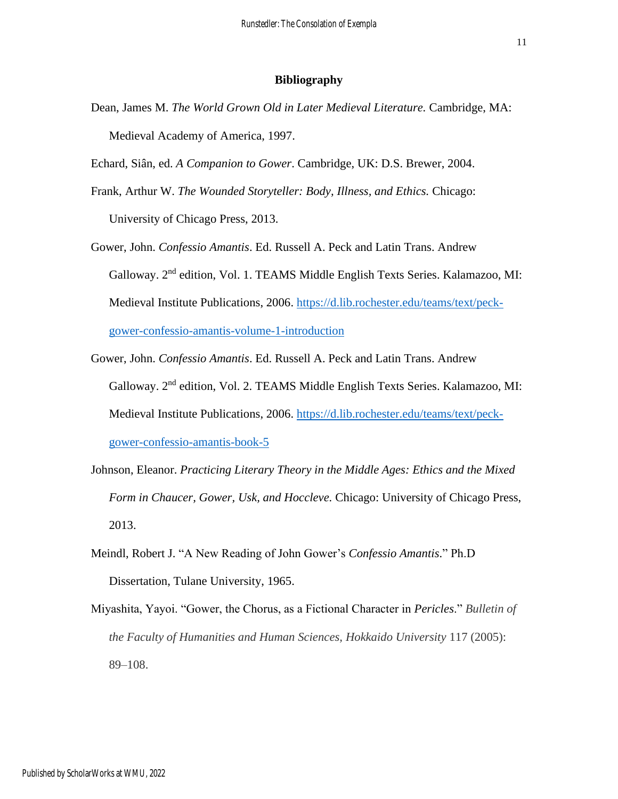#### **Bibliography**

- Dean, James M. *The World Grown Old in Later Medieval Literature.* Cambridge, MA: Medieval Academy of America, 1997.
- Echard, Siân, ed. *A Companion to Gower*. Cambridge, UK: D.S. Brewer, 2004.
- Frank, Arthur W. *The Wounded Storyteller: Body, Illness, and Ethics.* Chicago: University of Chicago Press, 2013.
- Gower, John. *Confessio Amantis*. Ed. Russell A. Peck and Latin Trans. Andrew Galloway. 2nd edition, Vol. 1. TEAMS Middle English Texts Series. Kalamazoo, MI: Medieval Institute Publications, 2006. [https://d.lib.rochester.edu/teams/text/peck](https://d.lib.rochester.edu/teams/text/peck-gower-confessio-amantis-volume-1-introduction)[gower-confessio-amantis-volume-1-introduction](https://d.lib.rochester.edu/teams/text/peck-gower-confessio-amantis-volume-1-introduction)
- Gower, John. *Confessio Amantis*. Ed. Russell A. Peck and Latin Trans. Andrew Galloway. 2nd edition, Vol. 2. TEAMS Middle English Texts Series. Kalamazoo, MI: Medieval Institute Publications, 2006. [https://d.lib.rochester.edu/teams/text/peck](https://d.lib.rochester.edu/teams/text/peck-gower-confessio-amantis-book-5)[gower-confessio-amantis-book-5](https://d.lib.rochester.edu/teams/text/peck-gower-confessio-amantis-book-5)
- Johnson, Eleanor. *Practicing Literary Theory in the Middle Ages: Ethics and the Mixed Form in Chaucer, Gower, Usk, and Hoccleve.* Chicago: University of Chicago Press, 2013.
- Meindl, Robert J. "A New Reading of John Gower's *Confessio Amantis*." Ph.D Dissertation, Tulane University, 1965.
- Miyashita, Yayoi. "Gower, the Chorus, as a Fictional Character in *Pericles*." *Bulletin of the Faculty of Humanities and Human Sciences, Hokkaido University* 117 (2005): 89–108.